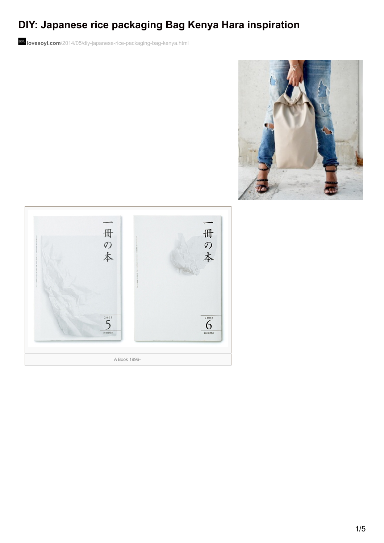## **DIY: Japanese rice packaging Bag Kenya Hara inspiration**

**lovesoyl.com**[/2014/05/diy-japanese-rice-packaging-bag-kenya.html](http://www.lovesoyl.com/2014/05/diy-japanese-rice-packaging-bag-kenya.html?m=1)



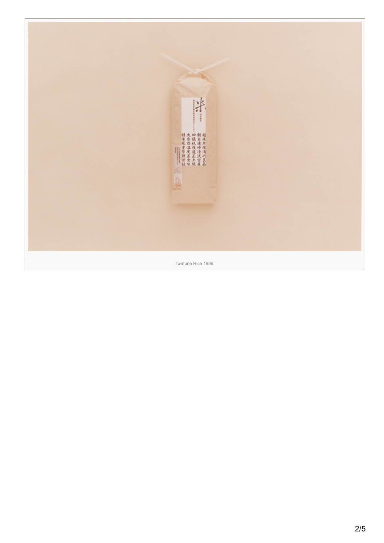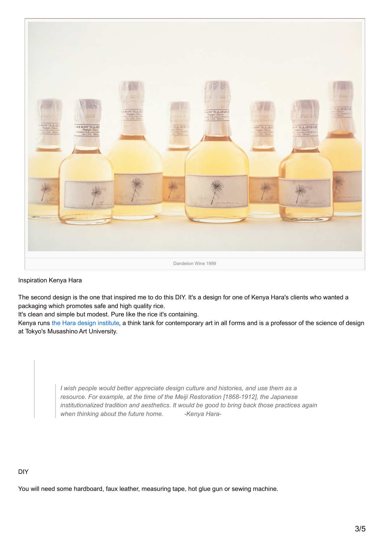

## Inspiration Kenya Hara

The second design is the one that inspired me to do this DIY. It's a design for one of Kenya Hara's clients who wanted a packaging which promotes safe and high quality rice.

It's clean and simple but modest. Pure like the rice it's containing.

Kenya runs the Hara design [institute](http://www.ndc.co.jp/hara/en/), a think tank for contemporary art in all forms and is a professor of the science of design at Tokyo's Musashino Art University.

> *I wish people would better appreciate design culture and histories, and use them as a resource. For example, at the time of the Meiji Restoration [1868-1912], the Japanese institutionalized tradition and aesthetics. It would be good to bring back those practices again when thinking about the future home. -Kenya Hara-*

## DIY

You will need some hardboard, faux leather, measuring tape, hot glue gun or sewing machine.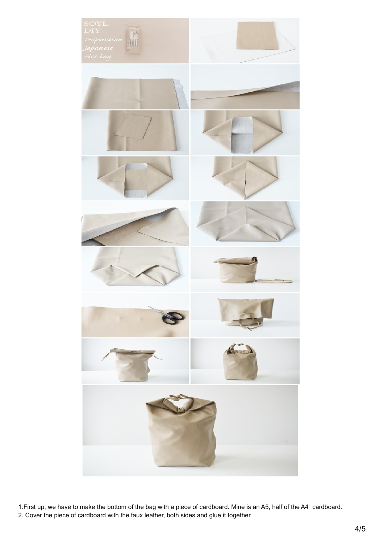

1.First up, we have to make the bottom of the bag with a piece of cardboard. Mine is an A5, half of the A4 cardboard. 2. Cover the piece of cardboard with the faux leather, both sides and glue it together.